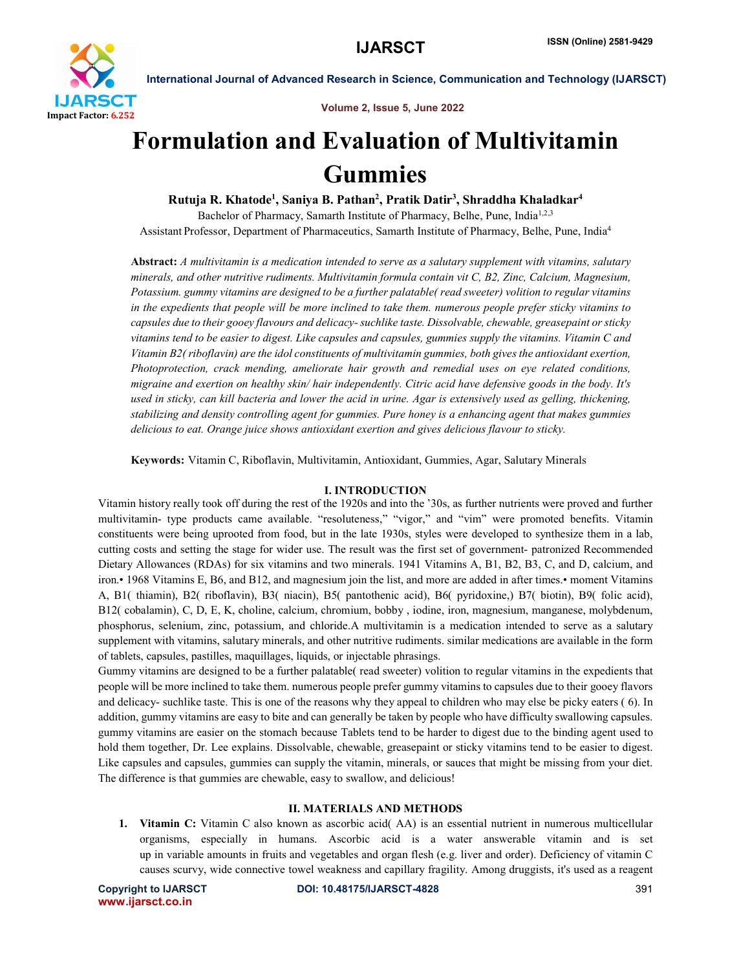

Volume 2, Issue 5, June 2022

## Formulation and Evaluation of Multivitamin Gummies

Rutuja R. Khatode<sup>1</sup>, Saniya B. Pathan<sup>2</sup>, Pratik Datir<sup>3</sup>, Shraddha Khaladkar<sup>4</sup> Bachelor of Pharmacy, Samarth Institute of Pharmacy, Belhe, Pune, India<sup>1,2,3</sup> Assistant Professor, Department of Pharmaceutics, Samarth Institute of Pharmacy, Belhe, Pune, India4

Abstract: *A multivitamin is a medication intended to serve as a salutary supplement with vitamins, salutary minerals, and other nutritive rudiments. Multivitamin formula contain vit C, B2, Zinc, Calcium, Magnesium, Potassium. gummy vitamins are designed to be a further palatable( read sweeter) volition to regular vitamins in the expedients that people will be more inclined to take them. numerous people prefer sticky vitamins to capsules due to their gooey flavours and delicacy-suchlike taste. Dissolvable, chewable, greasepaint or sticky vitamins tend to be easier to digest. Like capsules and capsules, gummies supply the vitamins. Vitamin C and Vitamin B2( riboflavin) are the idol constituents of multivitamin gummies, both gives the antioxidant exertion, Photoprotection, crack mending, ameliorate hair growth and remedial uses on eye related conditions, migraine and exertion on healthy skin/ hair independently. Citric acid have defensive goods in the body. It's used in sticky, can kill bacteria and lower the acid in urine. Agar is extensively used as gelling, thickening, stabilizing and density controlling agent for gummies. Pure honey is a enhancing agent that makes gummies delicious to eat. Orange juice shows antioxidant exertion and gives delicious flavour to sticky.*

Keywords: Vitamin C, Riboflavin, Multivitamin, Antioxidant, Gummies, Agar, Salutary Minerals

### I. INTRODUCTION

Vitamin history really took off during the rest of the 1920s and into the '30s, as further nutrients were proved and further multivitamin- type products came available. "resoluteness," "vigor," and "vim" were promoted benefits. Vitamin constituents were being uprooted from food, but in the late 1930s, styles were developed to synthesize them in a lab, cutting costs and setting the stage for wider use. The result was the first set of government- patronized Recommended Dietary Allowances (RDAs) for six vitamins and two minerals. 1941 Vitamins A, B1, B2, B3, C, and D, calcium, and iron.• 1968 Vitamins E, B6, and B12, and magnesium join the list, and more are added in after times.• moment Vitamins A, B1( thiamin), B2( riboflavin), B3( niacin), B5( pantothenic acid), B6( pyridoxine,) B7( biotin), B9( folic acid), B12( cobalamin), C, D, E, K, choline, calcium, chromium, bobby , iodine, iron, magnesium, manganese, molybdenum, phosphorus, selenium, zinc, potassium, and chloride.A multivitamin is a medication intended to serve as a salutary supplement with vitamins, salutary minerals, and other nutritive rudiments. similar medications are available in the form of tablets, capsules, pastilles, maquillages, liquids, or injectable phrasings.

Gummy vitamins are designed to be a further palatable( read sweeter) volition to regular vitamins in the expedients that people will be more inclined to take them. numerous people prefer gummy vitamins to capsules due to their gooey flavors and delicacy- suchlike taste. This is one of the reasons why they appeal to children who may else be picky eaters ( 6). In addition, gummy vitamins are easy to bite and can generally be taken by people who have difficulty swallowing capsules. gummy vitamins are easier on the stomach because Tablets tend to be harder to digest due to the binding agent used to hold them together, Dr. Lee explains. Dissolvable, chewable, greasepaint or sticky vitamins tend to be easier to digest. Like capsules and capsules, gummies can supply the vitamin, minerals, or sauces that might be missing from your diet. The difference is that gummies are chewable, easy to swallow, and delicious!

### II. MATERIALS AND METHODS

1. Vitamin C: Vitamin C also known as ascorbic acid( AA) is an essential nutrient in numerous multicellular organisms, especially in humans. Ascorbic acid is a water answerable vitamin and is set up in variable amounts in fruits and vegetables and organ flesh (e.g. liver and order). Deficiency of vitamin C causes scurvy, wide connective towel weakness and capillary fragility. Among druggists, it's used as a reagent

www.ijarsct.co.in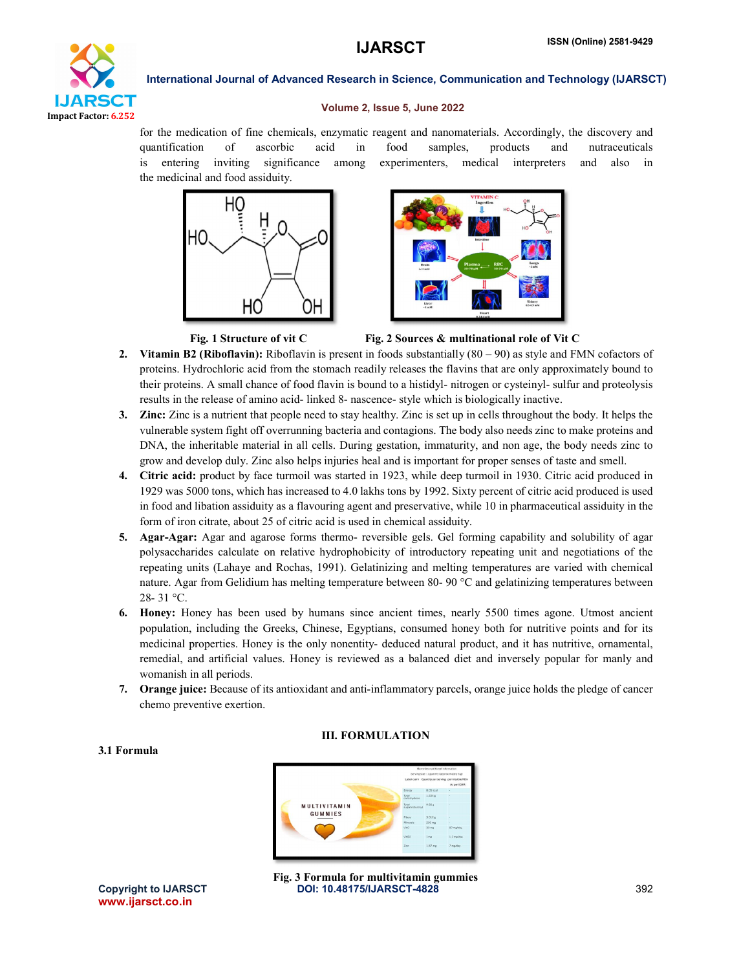

### Volume 2, Issue 5, June 2022

for the medication of fine chemicals, enzymatic reagent and nanomaterials. Accordingly, the discovery and quantification of ascorbic acid in food samples, products and nutraceuticals is entering inviting significance among experimenters, medical interpreters and also in the medicinal and food assiduity.





Fig. 1 Structure of vit C Fig. 2 Sources & multinational role of Vit C

- 2. Vitamin B2 (Riboflavin): Riboflavin is present in foods substantially  $(80 90)$  as style and FMN cofactors of proteins. Hydrochloric acid from the stomach readily releases the flavins that are only approximately bound to their proteins. A small chance of food flavin is bound to a histidyl- nitrogen or cysteinyl- sulfur and proteolysis results in the release of amino acid- linked 8- nascence- style which is biologically inactive.
- 3. Zinc: Zinc is a nutrient that people need to stay healthy. Zinc is set up in cells throughout the body. It helps the vulnerable system fight off overrunning bacteria and contagions. The body also needs zinc to make proteins and DNA, the inheritable material in all cells. During gestation, immaturity, and non age, the body needs zinc to grow and develop duly. Zinc also helps injuries heal and is important for proper senses of taste and smell.
- 4. Citric acid: product by face turmoil was started in 1923, while deep turmoil in 1930. Citric acid produced in 1929 was 5000 tons, which has increased to 4.0 lakhs tons by 1992. Sixty percent of citric acid produced is used in food and libation assiduity as a flavouring agent and preservative, while 10 in pharmaceutical assiduity in the form of iron citrate, about 25 of citric acid is used in chemical assiduity.
- 5. Agar-Agar: Agar and agarose forms thermo- reversible gels. Gel forming capability and solubility of agar polysaccharides calculate on relative hydrophobicity of introductory repeating unit and negotiations of the repeating units (Lahaye and Rochas, 1991). Gelatinizing and melting temperatures are varied with chemical nature. Agar from Gelidium has melting temperature between 80- 90 °C and gelatinizing temperatures between 28- 31 °C.
- 6. Honey: Honey has been used by humans since ancient times, nearly 5500 times agone. Utmost ancient population, including the Greeks, Chinese, Egyptians, consumed honey both for nutritive points and for its medicinal properties. Honey is the only nonentity- deduced natural product, and it has nutritive, ornamental, remedial, and artificial values. Honey is reviewed as a balanced diet and inversely popular for manly and womanish in all periods.
- 7. Orange juice: Because of its antioxidant and anti-inflammatory parcels, orange juice holds the pledge of cancer chemo preventive exertion.

III. FORMULATION



www.ijarsct.co.in

3.1 Formula

Copyright to IJARSCT **DOI: 10.48175/IJARSCT-4828** 392 Fig. 3 Formula for multivitamin gummies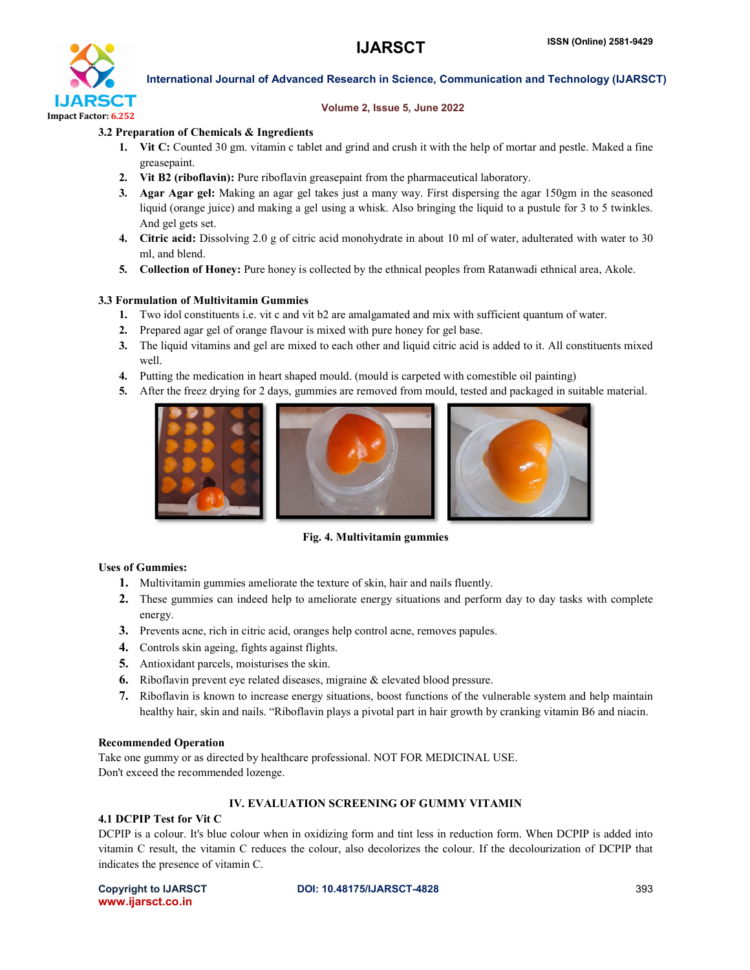

### Volume 2, Issue 5, June 2022

### 3.2 Preparation of Chemicals & Ingredients

- 1. Vit C: Counted 30 gm. vitamin c tablet and grind and crush it with the help of mortar and pestle. Maked a fine greasepaint.
- 2. Vit B2 (riboflavin): Pure riboflavin greasepaint from the pharmaceutical laboratory.
- 3. Agar Agar gel: Making an agar gel takes just a many way. First dispersing the agar 150gm in the seasoned liquid (orange juice) and making a gel using a whisk. Also bringing the liquid to a pustule for 3 to 5 twinkles. And gel gets set.
- 4. Citric acid: Dissolving 2.0 g of citric acid monohydrate in about 10 ml of water, adulterated with water to 30 ml, and blend.
- 5. Collection of Honey: Pure honey is collected by the ethnical peoples from Ratanwadi ethnical area, Akole.

### 3.3 Formulation of Multivitamin Gummies

- 1. Two idol constituents i.e. vit c and vit b2 are amalgamated and mix with sufficient quantum of water.
- 2. Prepared agar gel of orange flavour is mixed with pure honey for gel base.
- 3. The liquid vitamins and gel are mixed to each other and liquid citric acid is added to it. All constituents mixed well.
- 4. Putting the medication in heart shaped mould. (mould is carpeted with comestible oil painting)
- 5. After the freez drying for 2 days, gummies are removed from mould, tested and packaged in suitable material.



Fig. 4. Multivitamin gummies

### Uses of Gummies:

- 1. Multivitamin gummies ameliorate the texture of skin, hair and nails fluently.
- 2. These gummies can indeed help to ameliorate energy situations and perform day to day tasks with complete energy.
- 3. Prevents acne, rich in citric acid, oranges help control acne, removes papules.
- 4. Controls skin ageing, fights against flights.
- 5. Antioxidant parcels, moisturises the skin.
- 6. Riboflavin prevent eye related diseases, migraine & elevated blood pressure.
- 7. Riboflavin is known to increase energy situations, boost functions of the vulnerable system and help maintain healthy hair, skin and nails. "Riboflavin plays a pivotal part in hair growth by cranking vitamin B6 and niacin.

### Recommended Operation

Take one gummy or as directed by healthcare professional. NOT FOR MEDICINAL USE. Don't exceed the recommended lozenge.

### IV. EVALUATION SCREENING OF GUMMY VITAMIN

### 4.1 DCPIP Test for Vit C

DCPIP is a colour. It's blue colour when in oxidizing form and tint less in reduction form. When DCPIP is added into vitamin C result, the vitamin C reduces the colour, also decolorizes the colour. If the decolourization of DCPIP that indicates the presence of vitamin C.

www.ijarsct.co.in

Copyright to IJARSCT **DOI: 10.48175/IJARSCT-4828** 393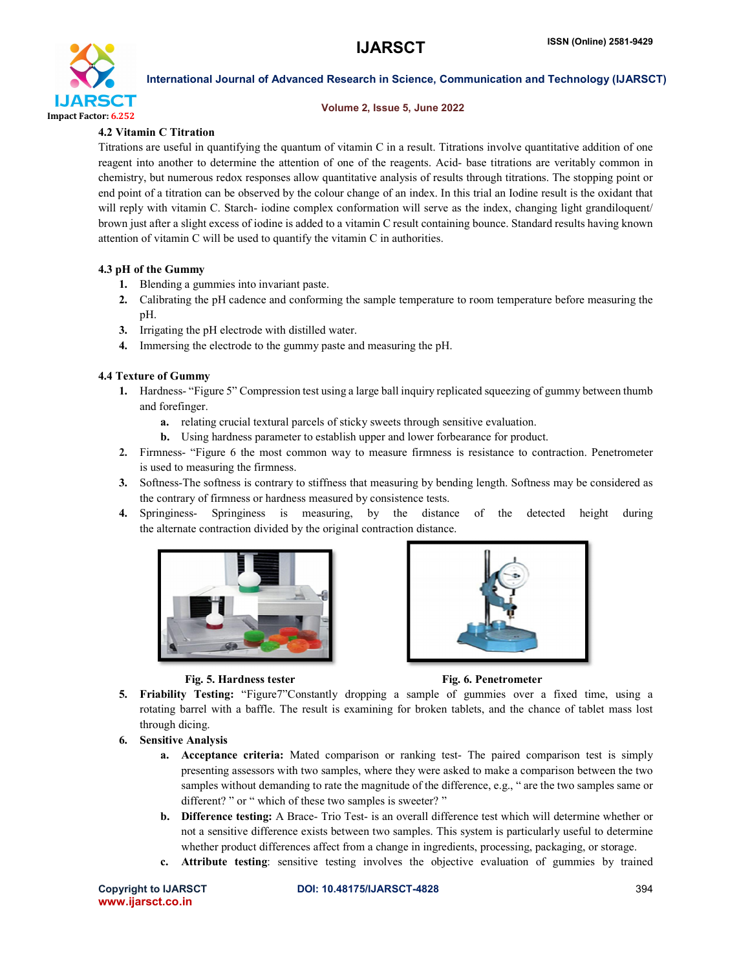

### Volume 2, Issue 5, June 2022

### 4.2 Vitamin C Titration

Titrations are useful in quantifying the quantum of vitamin C in a result. Titrations involve quantitative addition of one reagent into another to determine the attention of one of the reagents. Acid- base titrations are veritably common in chemistry, but numerous redox responses allow quantitative analysis of results through titrations. The stopping point or end point of a titration can be observed by the colour change of an index. In this trial an Iodine result is the oxidant that will reply with vitamin C. Starch- iodine complex conformation will serve as the index, changing light grandiloquent/ brown just after a slight excess of iodine is added to a vitamin C result containing bounce. Standard results having known attention of vitamin C will be used to quantify the vitamin C in authorities.

### 4.3 pH of the Gummy

- 1. Blending a gummies into invariant paste.
- 2. Calibrating the pH cadence and conforming the sample temperature to room temperature before measuring the pH.
- 3. Irrigating the pH electrode with distilled water.
- 4. Immersing the electrode to the gummy paste and measuring the pH.

### 4.4 Texture of Gummy

- 1. Hardness- "Figure 5" Compression test using a large ball inquiry replicated squeezing of gummy between thumb and forefinger.
	- a. relating crucial textural parcels of sticky sweets through sensitive evaluation.
	- b. Using hardness parameter to establish upper and lower forbearance for product.
- 2. Firmness- "Figure 6 the most common way to measure firmness is resistance to contraction. Penetrometer is used to measuring the firmness.
- 3. Softness-The softness is contrary to stiffness that measuring by bending length. Softness may be considered as the contrary of firmness or hardness measured by consistence tests.
- 4. Springiness- Springiness is measuring, by the distance of the detected height during the alternate contraction divided by the original contraction distance.







- 5. Friability Testing: "Figure7"Constantly dropping a sample of gummies over a fixed time, using a rotating barrel with a baffle. The result is examining for broken tablets, and the chance of tablet mass lost through dicing.
- 6. Sensitive Analysis
	- a. Acceptance criteria: Mated comparison or ranking test- The paired comparison test is simply presenting assessors with two samples, where they were asked to make a comparison between the two samples without demanding to rate the magnitude of the difference, e.g., " are the two samples same or different? " or " which of these two samples is sweeter? "
	- b. Difference testing: A Brace- Trio Test- is an overall difference test which will determine whether or not a sensitive difference exists between two samples. This system is particularly useful to determine whether product differences affect from a change in ingredients, processing, packaging, or storage.
	- c. Attribute testing: sensitive testing involves the objective evaluation of gummies by trained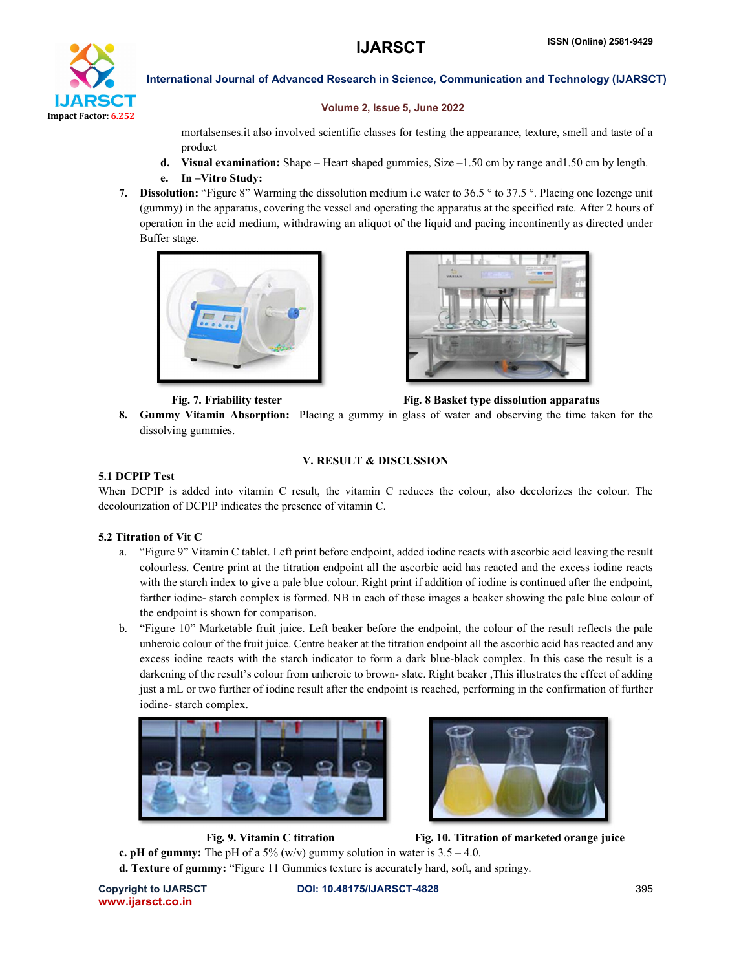# IJARSCT Impact Factor: 6.252

International Journal of Advanced Research in Science, Communication and Technology (IJARSCT)

### Volume 2, Issue 5, June 2022

mortalsenses.it also involved scientific classes for testing the appearance, texture, smell and taste of a product

- d. Visual examination: Shape Heart shaped gummies, Size –1.50 cm by range and1.50 cm by length.
- e. In –Vitro Study:
- 7. Dissolution: "Figure 8" Warming the dissolution medium i.e water to 36.5 ° to 37.5 °. Placing one lozenge unit (gummy) in the apparatus, covering the vessel and operating the apparatus at the specified rate. After 2 hours of operation in the acid medium, withdrawing an aliquot of the liquid and pacing incontinently as directed under Buffer stage.



Fig. 7. Friability tester Fig. 8 Basket type dissolution apparatus

8. Gummy Vitamin Absorption: Placing a gummy in glass of water and observing the time taken for the dissolving gummies.

### V. RESULT & DISCUSSION

### 5.1 DCPIP Test

When DCPIP is added into vitamin C result, the vitamin C reduces the colour, also decolorizes the colour. The decolourization of DCPIP indicates the presence of vitamin C.

### 5.2 Titration of Vit C

- a. "Figure 9" Vitamin C tablet. Left print before endpoint, added iodine reacts with ascorbic acid leaving the result colourless. Centre print at the titration endpoint all the ascorbic acid has reacted and the excess iodine reacts with the starch index to give a pale blue colour. Right print if addition of iodine is continued after the endpoint, farther iodine- starch complex is formed. NB in each of these images a beaker showing the pale blue colour of the endpoint is shown for comparison.
- b. "Figure 10" Marketable fruit juice. Left beaker before the endpoint, the colour of the result reflects the pale unheroic colour of the fruit juice. Centre beaker at the titration endpoint all the ascorbic acid has reacted and any excess iodine reacts with the starch indicator to form a dark blue-black complex. In this case the result is a darkening of the result's colour from unheroic to brown- slate. Right beaker ,This illustrates the effect of adding just a mL or two further of iodine result after the endpoint is reached, performing in the confirmation of further iodine- starch complex.





Fig. 9. Vitamin C titration Fig. 10. Titration of marketed orange juice

c. pH of gummy: The pH of a 5% (w/v) gummy solution in water is  $3.5 - 4.0$ . d. Texture of gummy: "Figure 11 Gummies texture is accurately hard, soft, and springy.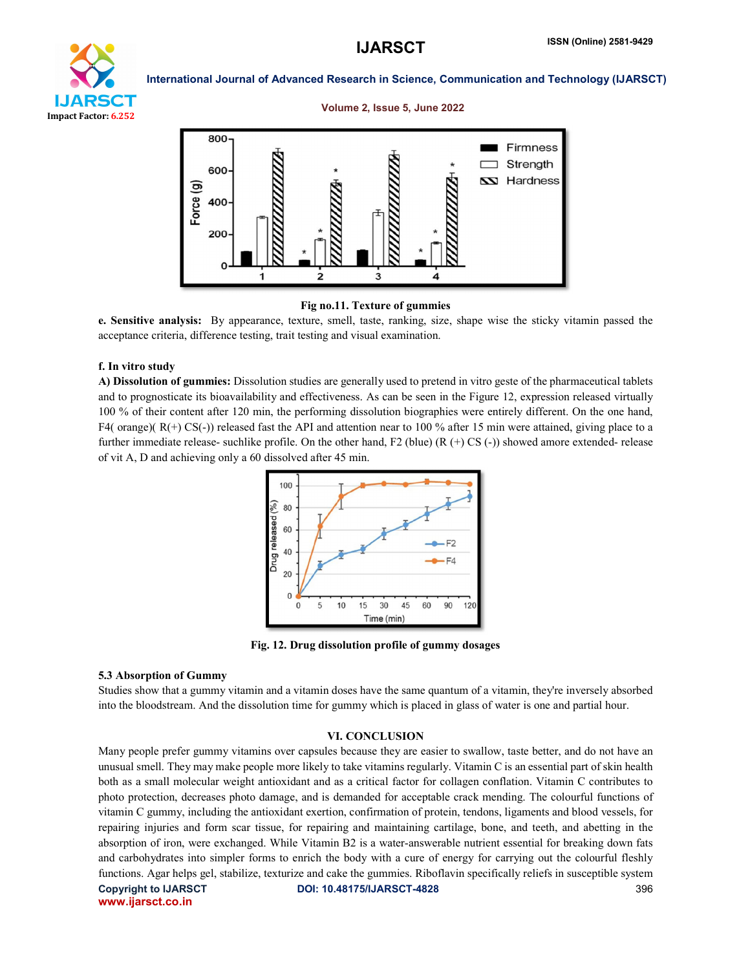

### Volume 2, Issue 5, June 2022



### Fig no.11. Texture of gummies

e. Sensitive analysis: By appearance, texture, smell, taste, ranking, size, shape wise the sticky vitamin passed the acceptance criteria, difference testing, trait testing and visual examination.

### f. In vitro study

A) Dissolution of gummies: Dissolution studies are generally used to pretend in vitro geste of the pharmaceutical tablets and to prognosticate its bioavailability and effectiveness. As can be seen in the Figure 12, expression released virtually 100 % of their content after 120 min, the performing dissolution biographies were entirely different. On the one hand, F4( orange)(  $R(+)$  CS(-)) released fast the API and attention near to 100 % after 15 min were attained, giving place to a further immediate release- suchlike profile. On the other hand, F2 (blue) (R (+) CS (-)) showed amore extended- release of vit A, D and achieving only a 60 dissolved after 45 min.



Fig. 12. Drug dissolution profile of gummy dosages

### 5.3 Absorption of Gummy

Studies show that a gummy vitamin and a vitamin doses have the same quantum of a vitamin, they're inversely absorbed into the bloodstream. And the dissolution time for gummy which is placed in glass of water is one and partial hour.

### VI. CONCLUSION

Copyright to IJARSCT **DOI: 10.48175/IJARSCT-4828** 396 www.ijarsct.co.in Many people prefer gummy vitamins over capsules because they are easier to swallow, taste better, and do not have an unusual smell. They may make people more likely to take vitamins regularly. Vitamin C is an essential part of skin health both as a small molecular weight antioxidant and as a critical factor for collagen conflation. Vitamin C contributes to photo protection, decreases photo damage, and is demanded for acceptable crack mending. The colourful functions of vitamin C gummy, including the antioxidant exertion, confirmation of protein, tendons, ligaments and blood vessels, for repairing injuries and form scar tissue, for repairing and maintaining cartilage, bone, and teeth, and abetting in the absorption of iron, were exchanged. While Vitamin B2 is a water-answerable nutrient essential for breaking down fats and carbohydrates into simpler forms to enrich the body with a cure of energy for carrying out the colourful fleshly functions. Agar helps gel, stabilize, texturize and cake the gummies. Riboflavin specifically reliefs in susceptible system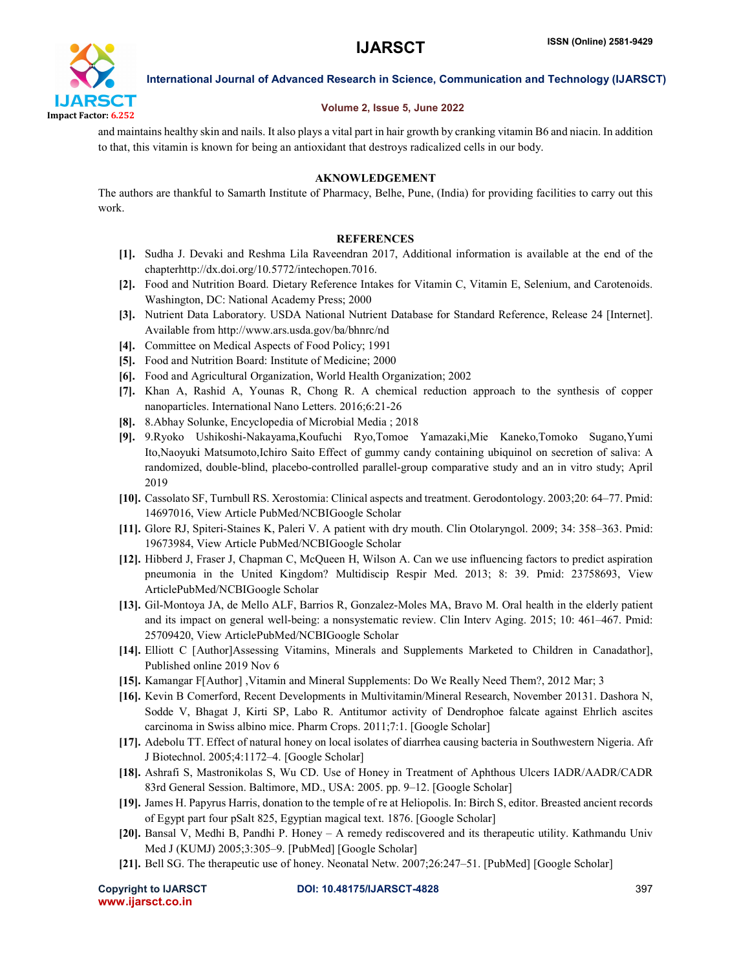

### Volume 2, Issue 5, June 2022

and maintains healthy skin and nails. It also plays a vital part in hair growth by cranking vitamin B6 and niacin. In addition to that, this vitamin is known for being an antioxidant that destroys radicalized cells in our body.

### AKNOWLEDGEMENT

The authors are thankful to Samarth Institute of Pharmacy, Belhe, Pune, (India) for providing facilities to carry out this work.

### **REFERENCES**

- [1]. Sudha J. Devaki and Reshma Lila Raveendran 2017, Additional information is available at the end of the chapterhttp://dx.doi.org/10.5772/intechopen.7016.
- [2]. Food and Nutrition Board. Dietary Reference Intakes for Vitamin C, Vitamin E, Selenium, and Carotenoids. Washington, DC: National Academy Press; 2000
- [3]. Nutrient Data Laboratory. USDA National Nutrient Database for Standard Reference, Release 24 [Internet]. Available from http://www.ars.usda.gov/ba/bhnrc/nd
- [4]. Committee on Medical Aspects of Food Policy; 1991
- [5]. Food and Nutrition Board: Institute of Medicine; 2000
- [6]. Food and Agricultural Organization, World Health Organization; 2002
- [7]. Khan A, Rashid A, Younas R, Chong R. A chemical reduction approach to the synthesis of copper nanoparticles. International Nano Letters. 2016;6:21-26
- [8]. 8.Abhay Solunke, Encyclopedia of Microbial Media ; 2018
- [9]. 9.Ryoko Ushikoshi-Nakayama,Koufuchi Ryo,Tomoe Yamazaki,Mie Kaneko,Tomoko Sugano,Yumi Ito,Naoyuki Matsumoto,Ichiro Saito Effect of gummy candy containing ubiquinol on secretion of saliva: A randomized, double-blind, placebo-controlled parallel-group comparative study and an in vitro study; April 2019
- [10]. Cassolato SF, Turnbull RS. Xerostomia: Clinical aspects and treatment. Gerodontology. 2003;20: 64–77. Pmid: 14697016, View Article PubMed/NCBIGoogle Scholar
- [11]. Glore RJ, Spiteri-Staines K, Paleri V. A patient with dry mouth. Clin Otolaryngol. 2009; 34: 358–363. Pmid: 19673984, View Article PubMed/NCBIGoogle Scholar
- [12]. Hibberd J, Fraser J, Chapman C, McQueen H, Wilson A. Can we use influencing factors to predict aspiration pneumonia in the United Kingdom? Multidiscip Respir Med. 2013; 8: 39. Pmid: 23758693, View ArticlePubMed/NCBIGoogle Scholar
- [13]. Gil-Montoya JA, de Mello ALF, Barrios R, Gonzalez-Moles MA, Bravo M. Oral health in the elderly patient and its impact on general well-being: a nonsystematic review. Clin Interv Aging. 2015; 10: 461–467. Pmid: 25709420, View ArticlePubMed/NCBIGoogle Scholar
- [14]. Elliott C [Author]Assessing Vitamins, Minerals and Supplements Marketed to Children in Canadathor], Published online 2019 Nov 6
- [15]. Kamangar F[Author] ,Vitamin and Mineral Supplements: Do We Really Need Them?, 2012 Mar; 3
- [16]. Kevin B Comerford, Recent Developments in Multivitamin/Mineral Research, November 20131. Dashora N, Sodde V, Bhagat J, Kirti SP, Labo R. Antitumor activity of Dendrophoe falcate against Ehrlich ascites carcinoma in Swiss albino mice. Pharm Crops. 2011;7:1. [Google Scholar]
- [17]. Adebolu TT. Effect of natural honey on local isolates of diarrhea causing bacteria in Southwestern Nigeria. Afr J Biotechnol. 2005;4:1172–4. [Google Scholar]
- [18]. Ashrafi S, Mastronikolas S, Wu CD. Use of Honey in Treatment of Aphthous Ulcers IADR/AADR/CADR 83rd General Session. Baltimore, MD., USA: 2005. pp. 9–12. [Google Scholar]
- [19]. James H. Papyrus Harris, donation to the temple of re at Heliopolis. In: Birch S, editor. Breasted ancient records of Egypt part four pSalt 825, Egyptian magical text. 1876. [Google Scholar]
- [20]. Bansal V, Medhi B, Pandhi P. Honey A remedy rediscovered and its therapeutic utility. Kathmandu Univ Med J (KUMJ) 2005;3:305–9. [PubMed] [Google Scholar]
- [21]. Bell SG. The therapeutic use of honey. Neonatal Netw. 2007;26:247–51. [PubMed] [Google Scholar]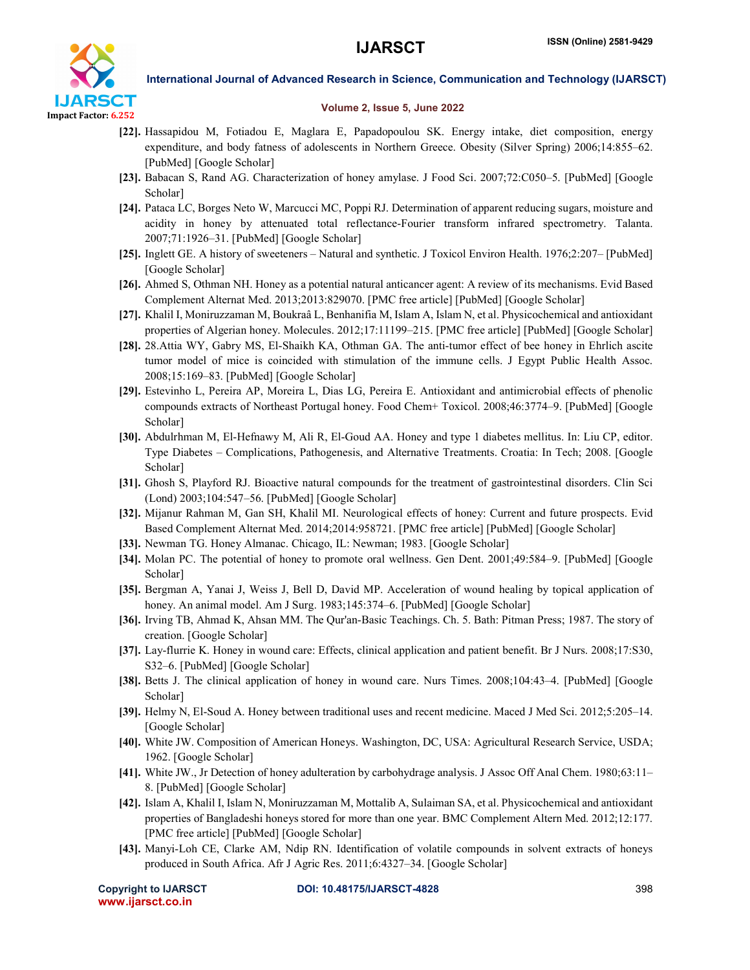

### Volume 2, Issue 5, June 2022

- [22]. Hassapidou M, Fotiadou E, Maglara E, Papadopoulou SK. Energy intake, diet composition, energy expenditure, and body fatness of adolescents in Northern Greece. Obesity (Silver Spring) 2006;14:855–62. [PubMed] [Google Scholar]
- [23]. Babacan S, Rand AG. Characterization of honey amylase. J Food Sci. 2007;72:C050–5. [PubMed] [Google Scholar]
- [24]. Pataca LC, Borges Neto W, Marcucci MC, Poppi RJ. Determination of apparent reducing sugars, moisture and acidity in honey by attenuated total reflectance-Fourier transform infrared spectrometry. Talanta. 2007;71:1926–31. [PubMed] [Google Scholar]
- [25]. Inglett GE. A history of sweeteners Natural and synthetic. J Toxicol Environ Health. 1976;2:207– [PubMed] [Google Scholar]
- [26]. Ahmed S, Othman NH. Honey as a potential natural anticancer agent: A review of its mechanisms. Evid Based Complement Alternat Med. 2013;2013:829070. [PMC free article] [PubMed] [Google Scholar]
- [27]. Khalil I, Moniruzzaman M, Boukraâ L, Benhanifia M, Islam A, Islam N, et al. Physicochemical and antioxidant properties of Algerian honey. Molecules. 2012;17:11199–215. [PMC free article] [PubMed] [Google Scholar]
- [28]. 28.Attia WY, Gabry MS, El-Shaikh KA, Othman GA. The anti-tumor effect of bee honey in Ehrlich ascite tumor model of mice is coincided with stimulation of the immune cells. J Egypt Public Health Assoc. 2008;15:169–83. [PubMed] [Google Scholar]
- [29]. Estevinho L, Pereira AP, Moreira L, Dias LG, Pereira E. Antioxidant and antimicrobial effects of phenolic compounds extracts of Northeast Portugal honey. Food Chem+ Toxicol. 2008;46:3774–9. [PubMed] [Google Scholar]
- [30]. Abdulrhman M, El-Hefnawy M, Ali R, El-Goud AA. Honey and type 1 diabetes mellitus. In: Liu CP, editor. Type Diabetes – Complications, Pathogenesis, and Alternative Treatments. Croatia: In Tech; 2008. [Google Scholar]
- [31]. Ghosh S, Playford RJ. Bioactive natural compounds for the treatment of gastrointestinal disorders. Clin Sci (Lond) 2003;104:547–56. [PubMed] [Google Scholar]
- [32]. Mijanur Rahman M, Gan SH, Khalil MI. Neurological effects of honey: Current and future prospects. Evid Based Complement Alternat Med. 2014;2014:958721. [PMC free article] [PubMed] [Google Scholar]
- [33]. Newman TG. Honey Almanac. Chicago, IL: Newman; 1983. [Google Scholar]
- [34]. Molan PC. The potential of honey to promote oral wellness. Gen Dent. 2001;49:584–9. [PubMed] [Google Scholar]
- [35]. Bergman A, Yanai J, Weiss J, Bell D, David MP. Acceleration of wound healing by topical application of honey. An animal model. Am J Surg. 1983;145:374-6. [PubMed] [Google Scholar]
- [36]. Irving TB, Ahmad K, Ahsan MM. The Qur'an-Basic Teachings. Ch. 5. Bath: Pitman Press; 1987. The story of creation. [Google Scholar]
- [37]. Lay-flurrie K. Honey in wound care: Effects, clinical application and patient benefit. Br J Nurs. 2008;17:S30, S32–6. [PubMed] [Google Scholar]
- [38]. Betts J. The clinical application of honey in wound care. Nurs Times. 2008;104:43–4. [PubMed] [Google Scholar]
- [39]. Helmy N, El-Soud A. Honey between traditional uses and recent medicine. Maced J Med Sci. 2012;5:205–14. [Google Scholar]
- [40]. White JW. Composition of American Honeys. Washington, DC, USA: Agricultural Research Service, USDA; 1962. [Google Scholar]
- [41]. White JW., Jr Detection of honey adulteration by carbohydrage analysis. J Assoc Off Anal Chem. 1980;63:11– 8. [PubMed] [Google Scholar]
- [42]. Islam A, Khalil I, Islam N, Moniruzzaman M, Mottalib A, Sulaiman SA, et al. Physicochemical and antioxidant properties of Bangladeshi honeys stored for more than one year. BMC Complement Altern Med. 2012;12:177. [PMC free article] [PubMed] [Google Scholar]
- [43]. Manyi-Loh CE, Clarke AM, Ndip RN. Identification of volatile compounds in solvent extracts of honeys produced in South Africa. Afr J Agric Res. 2011;6:4327–34. [Google Scholar]